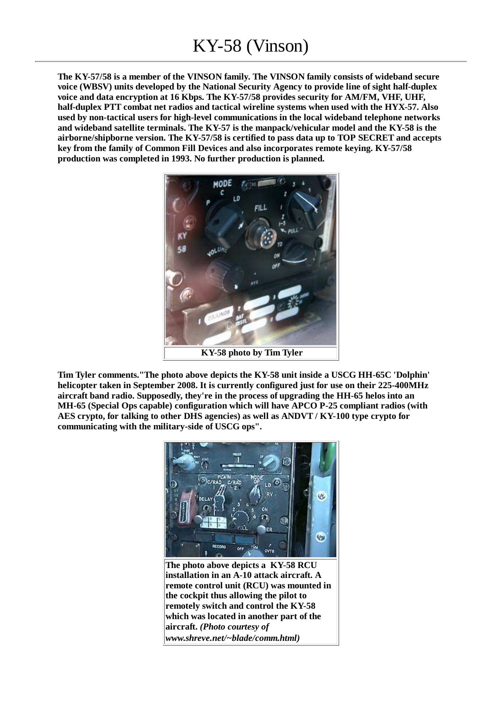**The KY-57/58 is a member of the VINSON family. The VINSON family consists of wideband secure voice (WBSV) units developed by the National Security Agency to provide line of sight half-duplex voice and data encryption at 16 Kbps. The KY-57/58 provides security for AM/FM, VHF, UHF, half-duplex PTT combat net radios and tactical wireline systems when used with the HYX-57. Also used by non-tactical users for high-level communications in the local wideband telephone networks and wideband satellite terminals. The KY-57 is the manpack/vehicular model and the KY-58 is the airborne/shipborne version. The KY-57/58 is certified to pass data up to TOP SECRET and accepts key from the family of Common Fill Devices and also incorporates remote keying. KY-57/58 production was completed in 1993. No further production is planned.**



**Tim Tyler comments."The photo above depicts the KY-58 unit inside a USCG HH-65C 'Dolphin' helicopter taken in September 2008. It is currently configured just for use on their 225-400MHz aircraft band radio. Supposedly, they're in the process of upgrading the HH-65 helos into an MH-65 (Special Ops capable) configuration which will have APCO P-25 compliant radios (with AES crypto, for talking to other DHS agencies) as well as ANDVT / KY-100 type crypto for communicating with the military-side of USCG ops".**



**installation in an A-10 attack aircraft. A remote control unit (RCU) was mounted in the cockpit thus allowing the pilot to remotely switch and control the KY-58 which was located in another part of the aircraft.** *(Photo courtesy of www.shreve.net/~blade/comm.html)*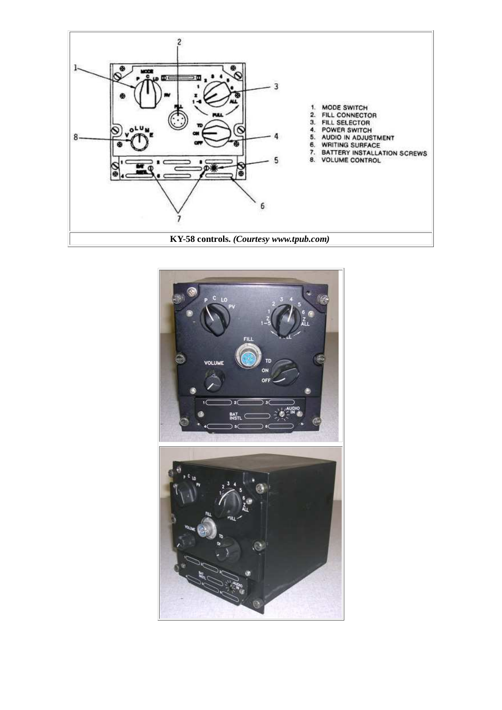

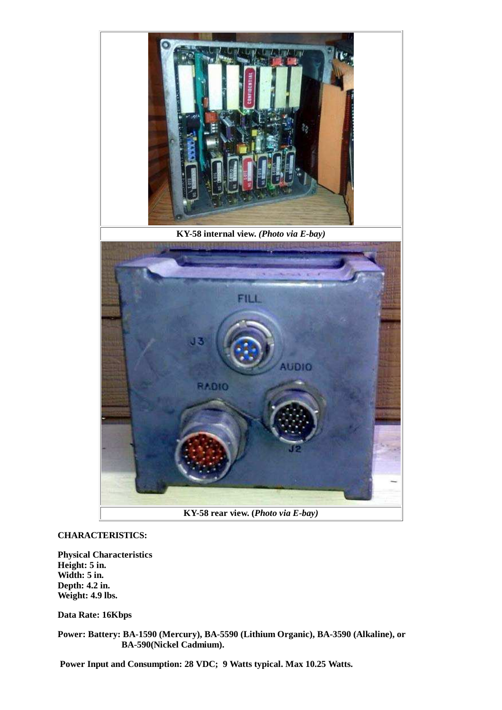

## **CHARACTERISTICS:**

**Physical Characteristics Height: 5 in. Width: 5 in. Depth: 4.2 in. Weight: 4.9 lbs.**

## **Data Rate: 16Kbps**

**Power: Battery: BA-1590 (Mercury), BA-5590 (Lithium Organic), BA-3590 (Alkaline), or BA-590(Nickel Cadmium).**

 **Power Input and Consumption: 28 VDC; 9 Watts typical. Max 10.25 Watts.**